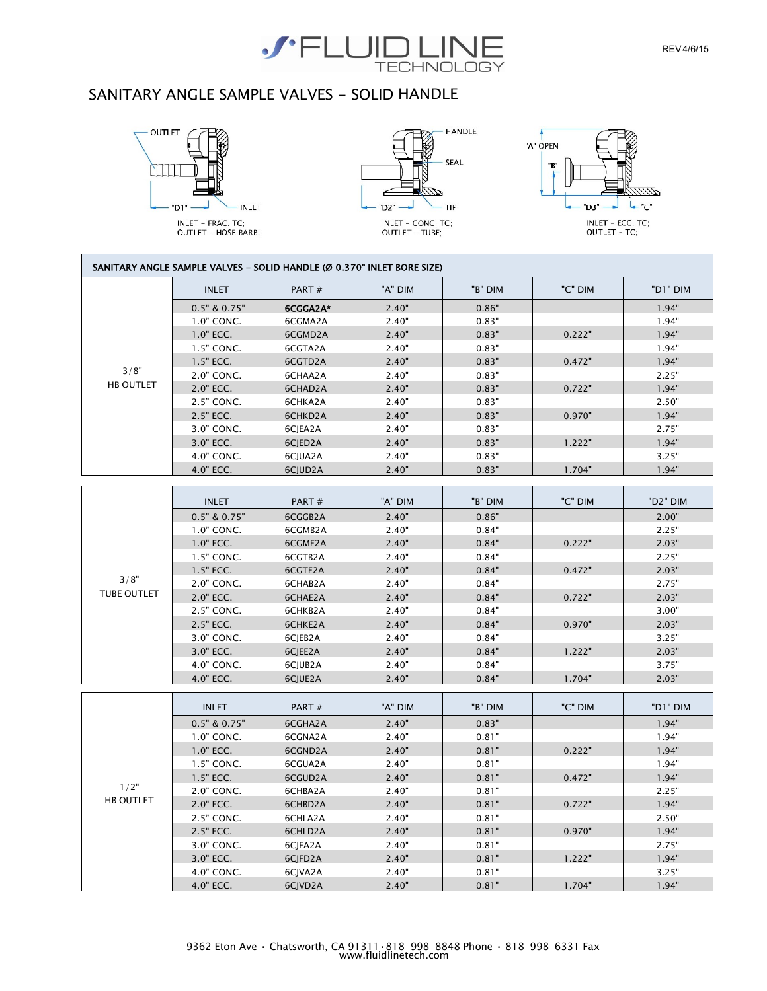

## SANITARY ANGLE SAMPLE VALVES - SOLID HANDLE







| SANITARY ANGLE SAMPLE VALVES - SOLID HANDLE (Ø 0.370" INLET BORE SIZE) |                  |          |         |         |         |          |
|------------------------------------------------------------------------|------------------|----------|---------|---------|---------|----------|
|                                                                        | <b>INLET</b>     | PART#    | "A" DIM | "B" DIM | "C" DIM | "D1" DIM |
|                                                                        | $0.5"$ & $0.75"$ | 6CGGA2A* | 2.40"   | 0.86"   |         | 1.94"    |
|                                                                        | 1.0" CONC.       | 6CGMA2A  | 2.40"   | 0.83"   |         | 1.94"    |
|                                                                        | $1.0"$ ECC.      | 6CGMD2A  | 2.40"   | 0.83"   | 0.222"  | 1.94"    |
|                                                                        | 1.5" CONC.       | 6CGTA2A  | 2.40"   | 0.83"   |         | 1.94"    |
|                                                                        | 1.5" ECC.        | 6CGTD2A  | 2.40"   | 0.83"   | 0.472"  | 1.94"    |
| 3/8"                                                                   | 2.0" CONC.       | 6CHAA2A  | 2.40"   | 0.83"   |         | 2.25"    |
| <b>HB OUTLET</b>                                                       | 2.0" ECC.        | 6CHAD2A  | 2.40"   | 0.83"   | 0.722"  | 1.94"    |
|                                                                        | 2.5" CONC.       | 6CHKA2A  | 2.40"   | 0.83"   |         | 2.50"    |
|                                                                        | 2.5" ECC.        | 6CHKD2A  | 2.40"   | 0.83"   | 0.970"  | 1.94"    |
|                                                                        | 3.0" CONC.       | 6CJEA2A  | 2.40"   | 0.83"   |         | 2.75"    |
|                                                                        | 3.0" ECC.        | 6CJED2A  | 2.40"   | 0.83"   | 1.222"  | 1.94"    |
|                                                                        | 4.0" CONC.       | 6CJUA2A  | 2.40"   | 0.83"   |         | 3.25"    |
|                                                                        | 4.0" ECC.        | 6CJUD2A  | 2.40"   | 0.83"   | 1.704"  | 1.94"    |
|                                                                        |                  |          |         |         |         |          |
|                                                                        | <b>INLET</b>     | PART#    | "A" DIM | "B" DIM | "C" DIM | "D2" DIM |
|                                                                        | $0.5"$ & $0.75"$ | 6CGGB2A  | 2.40"   | 0.86"   |         | 2.00"    |
|                                                                        | 1.0" CONC.       | 6CGMB2A  | 2.40"   | 0.84"   |         | 2.25"    |
|                                                                        | 1.0" ECC.        | 6CGME2A  | 2.40"   | 0.84"   | 0.222"  | 2.03"    |
|                                                                        | 1.5" CONC.       | 6CGTB2A  | 2.40"   | 0.84"   |         | 2.25"    |
|                                                                        | 1.5" ECC.        | 6CGTE2A  | 2.40"   | 0.84"   | 0.472"  | 2.03"    |
| 3/8"                                                                   | 2.0" CONC.       | 6CHAB2A  | 2.40"   | 0.84"   |         | 2.75"    |
| <b>TUBE OUTLET</b>                                                     | 2.0" ECC.        | 6CHAE2A  | 2.40"   | 0.84"   | 0.722"  | 2.03"    |
|                                                                        | 2.5" CONC.       | 6CHKB2A  | 2.40"   | 0.84"   |         | 3.00"    |
|                                                                        | 2.5" ECC.        | 6CHKE2A  | 2.40"   | 0.84"   | 0.970"  | 2.03"    |
|                                                                        | 3.0" CONC.       | 6CJEB2A  | 2.40"   | 0.84"   |         | 3.25"    |
|                                                                        | 3.0" ECC.        | 6CJEE2A  | 2.40"   | 0.84"   | 1.222"  | 2.03"    |
|                                                                        | 4.0" CONC.       | 6CJUB2A  | 2.40"   | 0.84"   |         | 3.75"    |
|                                                                        | 4.0" ECC.        | 6CJUE2A  | 2.40"   | 0.84"   | 1.704"  | 2.03"    |
|                                                                        | <b>INLET</b>     | PART#    | "A" DIM | "B" DIM | "C" DIM | "D1" DIM |
|                                                                        | $0.5"$ & $0.75"$ | 6CGHA2A  | 2.40"   | 0.83"   |         | 1.94"    |
|                                                                        | 1.0" CONC.       | 6CGNA2A  | 2.40"   | 0.81"   |         | 1.94"    |
|                                                                        | 1.0" ECC.        | 6CGND2A  | 2.40"   | 0.81"   | 0.222"  | 1.94"    |
| 1/2"<br><b>HB OUTLET</b>                                               | 1.5" CONC.       | 6CGUA2A  | 2.40"   | 0.81"   |         | 1.94"    |
|                                                                        | 1.5" ECC.        | 6CGUD2A  | 2.40"   | 0.81"   | 0.472"  | 1.94"    |
|                                                                        | 2.0" CONC.       | 6CHBA2A  | 2.40"   | 0.81"   |         | 2.25"    |
|                                                                        | 2.0" ECC.        | 6CHBD2A  | 2.40"   | 0.81"   | 0.722"  | 1.94"    |
|                                                                        | 2.5" CONC.       | 6CHLA2A  | 2.40"   | 0.81"   |         | 2.50"    |
|                                                                        | 2.5" ECC.        | 6CHLD2A  | 2.40"   | 0.81"   | 0.970"  | 1.94"    |
|                                                                        | 3.0" CONC.       | 6CJFA2A  | 2.40"   | 0.81"   |         | 2.75"    |
|                                                                        | 3.0" ECC.        | 6CJFD2A  | 2.40"   | 0.81"   | 1.222"  | 1.94"    |
|                                                                        | 4.0" CONC.       | 6CJVA2A  | 2.40"   | 0.81"   |         | 3.25"    |
|                                                                        | 4.0" ECC.        | 6CJVD2A  | 2.40"   | 0.81"   | 1.704"  | 1.94"    |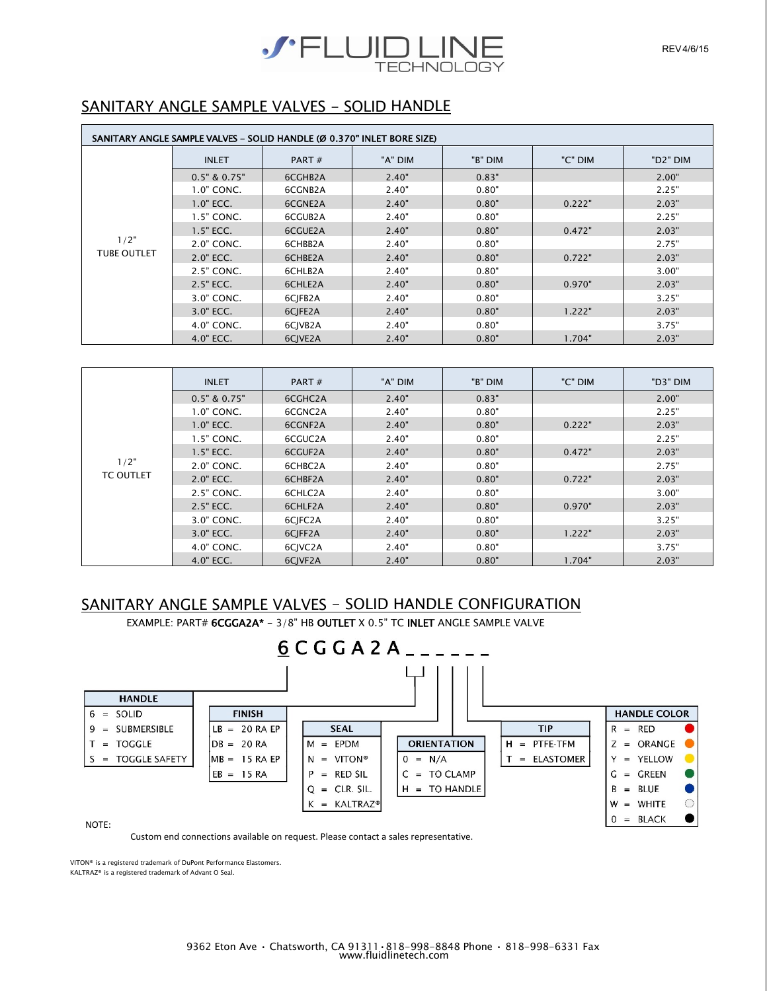

## SANITARY ANGLE SAMPLE VALVES - SOLID HANDLE

| SANITARY ANGLE SAMPLE VALVES - SOLID HANDLE (Ø 0.370" INLET BORE SIZE) |                  |         |         |         |         |                       |
|------------------------------------------------------------------------|------------------|---------|---------|---------|---------|-----------------------|
|                                                                        | <b>INLET</b>     | PART#   | "A" DIM | "B" DIM | "C" DIM | "D <sub>2</sub> " DIM |
|                                                                        | $0.5"$ & $0.75"$ | 6CGHB2A | 2.40"   | 0.83"   |         | 2.00"                 |
|                                                                        | 1.0" CONC.       | 6CGNB2A | 2.40"   | 0.80"   |         | 2.25"                 |
|                                                                        | $1.0"$ ECC.      | 6CGNE2A | 2.40"   | 0.80"   | 0.222"  | 2.03"                 |
| 1/2"<br><b>TUBE OUTLET</b>                                             | $1.5"$ CONC.     | 6CGUB2A | 2.40"   | 0.80"   |         | 2.25"                 |
|                                                                        | $1.5"$ ECC.      | 6CGUE2A | 2.40"   | 0.80"   | 0.472"  | 2.03"                 |
|                                                                        | 2.0" CONC.       | 6CHBB2A | 2.40"   | 0.80"   |         | 2.75"                 |
|                                                                        | 2.0" ECC.        | 6CHBE2A | 2.40"   | 0.80"   | 0.722"  | 2.03"                 |
|                                                                        | 2.5" CONC.       | 6CHLB2A | 2.40"   | 0.80"   |         | 3.00"                 |
|                                                                        | 2.5" ECC.        | 6CHLE2A | 2.40"   | 0.80"   | 0.970"  | 2.03"                 |
|                                                                        | 3.0" CONC.       | 6CJFB2A | 2.40"   | 0.80"   |         | 3.25"                 |
|                                                                        | 3.0" ECC.        | 6CJFE2A | 2.40"   | 0.80"   | 1.222"  | 2.03"                 |
|                                                                        | 4.0" CONC.       | 6CJVB2A | 2.40"   | 0.80"   |         | 3.75"                 |
|                                                                        | 4.0" ECC.        | 6CIVE2A | 2.40"   | 0.80"   | 1.704"  | 2.03"                 |

|                          | <b>INLET</b>     | PART $#$ | "A" DIM | "B" DIM | "C" DIM | "D3" DIM |
|--------------------------|------------------|----------|---------|---------|---------|----------|
|                          | $0.5"$ & $0.75"$ | 6CGHC2A  | 2.40"   | 0.83"   |         | 2.00"    |
|                          | 1.0" CONC.       | 6CGNC2A  | 2.40"   | 0.80"   |         | 2.25"    |
|                          | $1.0"$ ECC.      | 6CGNF2A  | 2.40"   | 0.80"   | 0.222"  | 2.03"    |
|                          | 1.5" CONC.       | 6CGUC2A  | 2.40"   | 0.80"   |         | 2.25"    |
|                          | $1.5"$ ECC.      | 6CGUF2A  | 2.40"   | 0.80"   | 0.472"  | 2.03"    |
| 1/2"<br><b>TC OUTLET</b> | 2.0" CONC.       | 6CHBC2A  | 2.40"   | 0.80"   |         | 2.75"    |
|                          | 2.0" ECC.        | 6CHBF2A  | 2.40"   | 0.80"   | 0.722"  | 2.03"    |
|                          | 2.5" CONC.       | 6CHLC2A  | 2.40"   | 0.80"   |         | 3.00"    |
|                          | 2.5" ECC.        | 6CHLF2A  | 2.40"   | 0.80"   | 0.970"  | 2.03"    |
|                          | 3.0" CONC.       | 6CJFC2A  | 2.40"   | 0.80"   |         | 3.25"    |
|                          | 3.0" ECC.        | 6CJFF2A  | 2.40"   | 0.80"   | 1.222"  | 2.03"    |
|                          | 4.0" CONC.       | 6CJVC2A  | 2.40"   | 0.80"   |         | 3.75"    |
|                          | 4.0" ECC.        | 6CJVF2A  | 2.40"   | 0.80"   | 1.704"  | 2.03"    |

## SANITARY ANGLE SAMPLE VALVES - SOLID HANDLE CONFIGURATION

EXAMPLE: PART# 6CGGA2A\* - 3/8" HB OUTLET X 0.5" TC INLET ANGLE SAMPLE VALVE



Custom end connections available on request. Please contact a sales representative.

VITON® is a registered trademark of DuPont Performance Elastomers. KALTRAZ® is a registered trademark of Advant O Seal.